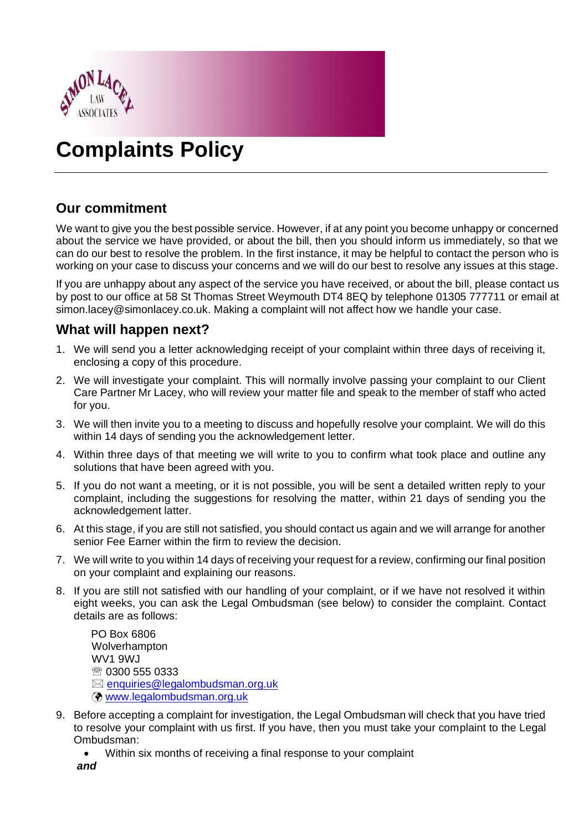

# **Complaints Policy**

# **Our commitment**

We want to give you the best possible service. However, if at any point you become unhappy or concerned about the service we have provided, or about the bill, then you should inform us immediately, so that we can do our best to resolve the problem. In the first instance, it may be helpful to contact the person who is working on your case to discuss your concerns and we will do our best to resolve any issues at this stage.

If you are unhappy about any aspect of the service you have received, or about the bill, please contact us by post to our office at 58 St Thomas Street Weymouth DT4 8EQ by telephone 01305 777711 or email at simon.lacey@simonlacey.co.uk. Making a complaint will not affect how we handle your case.

## **What will happen next?**

- 1. We will send you a letter acknowledging receipt of your complaint within three days of receiving it, enclosing a copy of this procedure.
- 2. We will investigate your complaint. This will normally involve passing your complaint to our Client Care Partner Mr Lacey, who will review your matter file and speak to the member of staff who acted for you.
- 3. We will then invite you to a meeting to discuss and hopefully resolve your complaint. We will do this within 14 days of sending you the acknowledgement letter.
- 4. Within three days of that meeting we will write to you to confirm what took place and outline any solutions that have been agreed with you.
- 5. If you do not want a meeting, or it is not possible, you will be sent a detailed written reply to your complaint, including the suggestions for resolving the matter, within 21 days of sending you the acknowledgement latter.
- 6. At this stage, if you are still not satisfied, you should contact us again and we will arrange for another senior Fee Earner within the firm to review the decision.
- 7. We will write to you within 14 days of receiving your request for a review, confirming our final position on your complaint and explaining our reasons.
- 8. If you are still not satisfied with our handling of your complaint, or if we have not resolved it within eight weeks, you can ask the Legal Ombudsman (see below) to consider the complaint. Contact details are as follows:

PO Box 6806 Wolverhampton WV1 9WJ 0300 555 0333  $\boxtimes$  [enquiries@legalombudsman.org.uk](mailto:enquiries@legalombudsman.org.uk) [www.legalombudsman.org.uk](http://www.legalombudsman.org.uk/)

- 9. Before accepting a complaint for investigation, the Legal Ombudsman will check that you have tried to resolve your complaint with us first. If you have, then you must take your complaint to the Legal Ombudsman:
	- Within six months of receiving a final response to your complaint
	- *and*